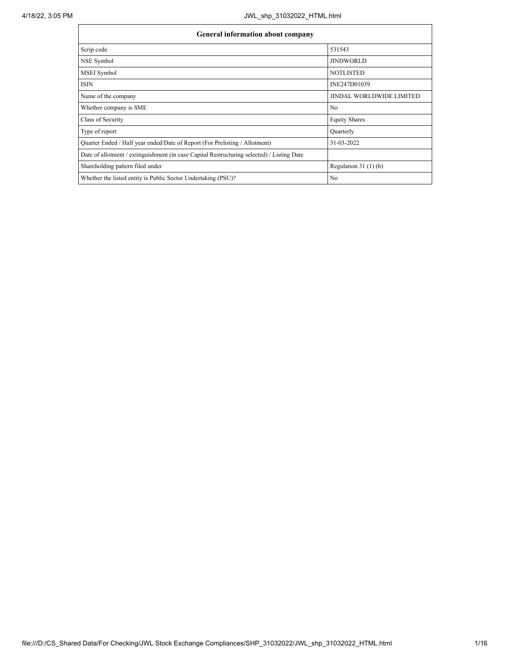$\mathbf{r}$ 

h

| <b>General information about company</b>                                                   |                                 |  |  |  |  |  |  |  |  |
|--------------------------------------------------------------------------------------------|---------------------------------|--|--|--|--|--|--|--|--|
| Scrip code                                                                                 | 531543                          |  |  |  |  |  |  |  |  |
| NSE Symbol                                                                                 | <b>JINDWORLD</b>                |  |  |  |  |  |  |  |  |
| <b>MSEI</b> Symbol                                                                         | <b>NOTLISTED</b>                |  |  |  |  |  |  |  |  |
| <b>ISIN</b>                                                                                | INE247D01039                    |  |  |  |  |  |  |  |  |
| Name of the company                                                                        | <b>JINDAL WORLDWIDE LIMITED</b> |  |  |  |  |  |  |  |  |
| Whether company is SME                                                                     | N <sub>0</sub>                  |  |  |  |  |  |  |  |  |
| Class of Security                                                                          | <b>Equity Shares</b>            |  |  |  |  |  |  |  |  |
| Type of report                                                                             | Quarterly                       |  |  |  |  |  |  |  |  |
| Quarter Ended / Half year ended/Date of Report (For Prelisting / Allotment)                | 31-03-2022                      |  |  |  |  |  |  |  |  |
| Date of allotment / extinguishment (in case Capital Restructuring selected) / Listing Date |                                 |  |  |  |  |  |  |  |  |
| Shareholding pattern filed under                                                           | Regulation $31(1)(b)$           |  |  |  |  |  |  |  |  |
| Whether the listed entity is Public Sector Undertaking (PSU)?                              | N <sub>0</sub>                  |  |  |  |  |  |  |  |  |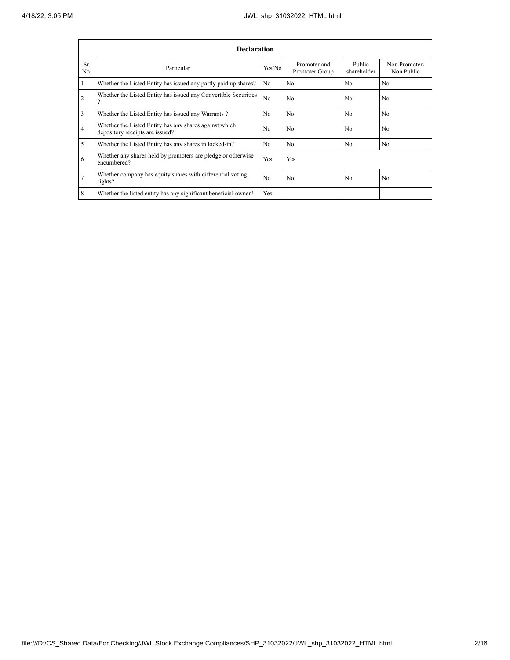|                 | <b>Declaration</b>                                                                        |                |                                |                       |                             |  |  |  |  |  |  |  |
|-----------------|-------------------------------------------------------------------------------------------|----------------|--------------------------------|-----------------------|-----------------------------|--|--|--|--|--|--|--|
| Sr.<br>No.      | Particular                                                                                | Yes/No         | Promoter and<br>Promoter Group | Public<br>shareholder | Non Promoter-<br>Non Public |  |  |  |  |  |  |  |
| 1               | Whether the Listed Entity has issued any partly paid up shares?                           | No.            | N <sub>0</sub>                 | N <sub>0</sub>        | N <sub>0</sub>              |  |  |  |  |  |  |  |
| $\overline{2}$  | Whether the Listed Entity has issued any Convertible Securities<br>$\mathcal{P}$          | N <sub>0</sub> | N <sub>0</sub>                 | N <sub>0</sub>        | N <sub>0</sub>              |  |  |  |  |  |  |  |
| 3               | Whether the Listed Entity has issued any Warrants?                                        | N <sub>0</sub> | N <sub>0</sub>                 | N <sub>0</sub>        | N <sub>0</sub>              |  |  |  |  |  |  |  |
| $\overline{4}$  | Whether the Listed Entity has any shares against which<br>depository receipts are issued? | N <sub>0</sub> | N <sub>0</sub>                 | N <sub>0</sub>        | N <sub>0</sub>              |  |  |  |  |  |  |  |
| 5               | Whether the Listed Entity has any shares in locked-in?                                    | N <sub>0</sub> | N <sub>0</sub>                 | N <sub>0</sub>        | N <sub>0</sub>              |  |  |  |  |  |  |  |
| 6               | Whether any shares held by promoters are pledge or otherwise<br>encumbered?               | <b>Yes</b>     | Yes                            |                       |                             |  |  |  |  |  |  |  |
| $7\phantom{.0}$ | Whether company has equity shares with differential voting<br>rights?                     | N <sub>0</sub> | N <sub>0</sub>                 | N <sub>0</sub>        | N <sub>0</sub>              |  |  |  |  |  |  |  |
| 8               | Whether the listed entity has any significant beneficial owner?                           | Yes            |                                |                       |                             |  |  |  |  |  |  |  |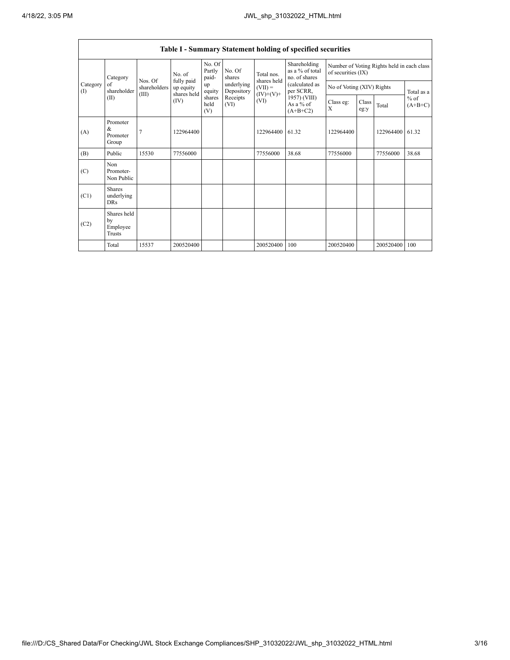Ē

|                 | Table I - Summary Statement holding of specified securities |                                  |                                        |                           |                          |                           |                                                  |                                                                  |               |           |                                   |  |  |  |
|-----------------|-------------------------------------------------------------|----------------------------------|----------------------------------------|---------------------------|--------------------------|---------------------------|--------------------------------------------------|------------------------------------------------------------------|---------------|-----------|-----------------------------------|--|--|--|
|                 | Category<br>of<br>shareholder<br>(II)                       |                                  | No. of                                 | No. Of<br>Partly<br>paid- | No. Of<br>shares         | Total nos.<br>shares held | Shareholding<br>as a % of total<br>no. of shares | Number of Voting Rights held in each class<br>of securities (IX) |               |           |                                   |  |  |  |
| Category<br>(1) |                                                             | Nos. Of<br>shareholders<br>(III) | fully paid<br>up equity<br>shares held | up<br>equity              | underlying<br>Depository | $(VII) =$<br>$(IV)+(V)+$  | (calculated as<br>per SCRR,                      | No of Voting (XIV) Rights                                        |               |           | Total as a<br>$%$ of<br>$(A+B+C)$ |  |  |  |
|                 |                                                             |                                  | (IV)                                   | shares<br>held<br>(V)     | Receipts<br>(VI)         | (VI)                      | 1957) (VIII)<br>As a $%$ of<br>$(A+B+C2)$        | Class eg:<br>X                                                   | Class<br>eg:y | Total     |                                   |  |  |  |
| (A)             | Promoter<br>&<br>Promoter<br>Group                          | $\overline{7}$                   | 122964400                              |                           |                          | 122964400                 | 61.32                                            | 122964400                                                        |               | 122964400 | 61.32                             |  |  |  |
| (B)             | Public                                                      | 15530                            | 77556000                               |                           |                          | 77556000                  | 38.68                                            | 77556000                                                         |               | 77556000  | 38.68                             |  |  |  |
| (C)             | Non<br>Promoter-<br>Non Public                              |                                  |                                        |                           |                          |                           |                                                  |                                                                  |               |           |                                   |  |  |  |
| (C1)            | <b>Shares</b><br>underlying<br><b>DRs</b>                   |                                  |                                        |                           |                          |                           |                                                  |                                                                  |               |           |                                   |  |  |  |
| (C2)            | Shares held<br>by<br>Employee<br>Trusts                     |                                  |                                        |                           |                          |                           |                                                  |                                                                  |               |           |                                   |  |  |  |
|                 | Total                                                       | 15537                            | 200520400                              |                           |                          | 200520400                 | 100                                              | 200520400                                                        |               | 200520400 | 100                               |  |  |  |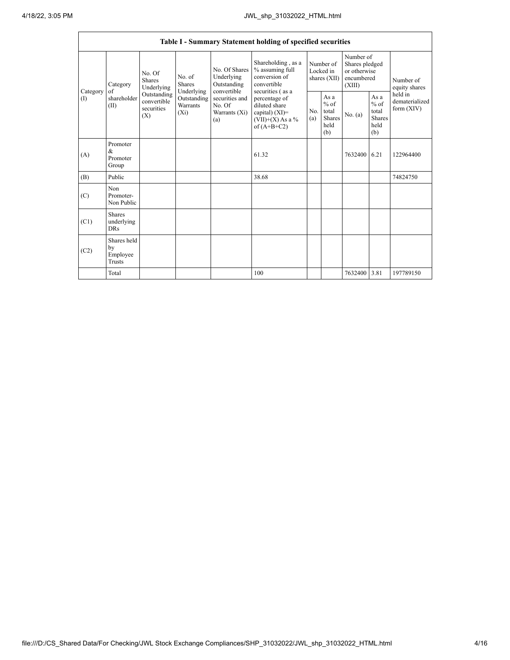|                   |                                           |                                                                                                                                                          |             |                                                                                                               | Table I - Summary Statement holding of specified securities                                                                                                                             |                                          |                                                         |                                                                     |                                                         |                                           |
|-------------------|-------------------------------------------|----------------------------------------------------------------------------------------------------------------------------------------------------------|-------------|---------------------------------------------------------------------------------------------------------------|-----------------------------------------------------------------------------------------------------------------------------------------------------------------------------------------|------------------------------------------|---------------------------------------------------------|---------------------------------------------------------------------|---------------------------------------------------------|-------------------------------------------|
| Category          | Category<br>of<br>shareholder<br>(II)     | No. Of<br>No. of<br><b>Shares</b><br><b>Shares</b><br>Underlying<br>Underlying<br>Outstanding<br>convertible<br>Warrants<br>securities<br>$(X_i)$<br>(X) |             | No. Of Shares<br>Underlying<br>Outstanding<br>convertible<br>securities and<br>No. Of<br>Warrants (Xi)<br>(a) | Shareholding, as a<br>% assuming full<br>conversion of<br>convertible<br>securities (as a<br>percentage of<br>diluted share<br>capital) $(XI)$ =<br>$(VII)+(X)$ As a %<br>of $(A+B+C2)$ | Number of<br>Locked in<br>shares $(XII)$ |                                                         | Number of<br>Shares pledged<br>or otherwise<br>encumbered<br>(XIII) |                                                         | Number of<br>equity shares                |
| $\textcircled{1}$ |                                           |                                                                                                                                                          | Outstanding |                                                                                                               |                                                                                                                                                                                         | No.<br>(a)                               | As a<br>$%$ of<br>total<br><b>Shares</b><br>held<br>(b) | No. (a)                                                             | As a<br>$%$ of<br>total<br><b>Shares</b><br>held<br>(b) | held in<br>dematerialized<br>form $(XIV)$ |
| (A)               | Promoter<br>&<br>Promoter<br>Group        |                                                                                                                                                          |             |                                                                                                               | 61.32                                                                                                                                                                                   |                                          |                                                         | 7632400 6.21                                                        |                                                         | 122964400                                 |
| (B)               | Public                                    |                                                                                                                                                          |             |                                                                                                               | 38.68                                                                                                                                                                                   |                                          |                                                         |                                                                     |                                                         | 74824750                                  |
| (C)               | Non<br>Promoter-<br>Non Public            |                                                                                                                                                          |             |                                                                                                               |                                                                                                                                                                                         |                                          |                                                         |                                                                     |                                                         |                                           |
| (C1)              | <b>Shares</b><br>underlying<br><b>DRs</b> |                                                                                                                                                          |             |                                                                                                               |                                                                                                                                                                                         |                                          |                                                         |                                                                     |                                                         |                                           |
| (C2)              | Shares held<br>by<br>Employee<br>Trusts   |                                                                                                                                                          |             |                                                                                                               |                                                                                                                                                                                         |                                          |                                                         |                                                                     |                                                         |                                           |
|                   | Total                                     |                                                                                                                                                          |             |                                                                                                               | 100                                                                                                                                                                                     |                                          |                                                         | 7632400                                                             | 3.81                                                    | 197789150                                 |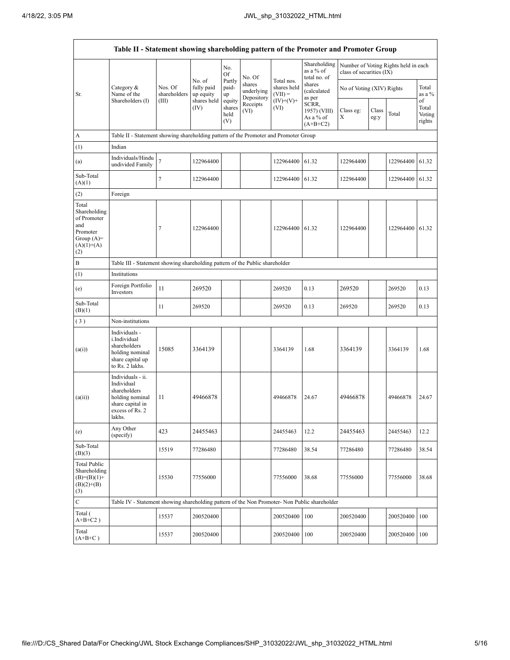'n

|                                                                                                | Table II - Statement showing shareholding pattern of the Promoter and Promoter Group                                |                                                                              |                                                          |                                 |                                    |                                        |                                                  |                           |               |                                      |                                 |  |  |
|------------------------------------------------------------------------------------------------|---------------------------------------------------------------------------------------------------------------------|------------------------------------------------------------------------------|----------------------------------------------------------|---------------------------------|------------------------------------|----------------------------------------|--------------------------------------------------|---------------------------|---------------|--------------------------------------|---------------------------------|--|--|
|                                                                                                |                                                                                                                     |                                                                              |                                                          | No.<br>Of                       | No. Of                             |                                        | Shareholding<br>as a % of<br>total no. of        | class of securities (IX)  |               | Number of Voting Rights held in each |                                 |  |  |
| Sr.                                                                                            | Category $\&$<br>Name of the                                                                                        | Nos. Of<br>shareholders                                                      | No. of<br>fully paid<br>up equity<br>shares held<br>(IV) | Partly<br>paid-<br>up           | shares<br>underlying<br>Depository | Total nos.<br>shares held<br>$(VII) =$ | shares<br>(calculated<br>as per                  | No of Voting (XIV) Rights |               |                                      | Total<br>as a %                 |  |  |
|                                                                                                | Shareholders (I)                                                                                                    | (III)                                                                        |                                                          | equity<br>shares<br>held<br>(V) | Receipts<br>(VI)                   | $(IV)+(V)+$<br>(VI)                    | SCRR,<br>1957) (VIII)<br>As a % of<br>$(A+B+C2)$ | Class eg:<br>Х            | Class<br>eg:y | Total                                | of<br>Total<br>Voting<br>rights |  |  |
| A                                                                                              | Table II - Statement showing shareholding pattern of the Promoter and Promoter Group                                |                                                                              |                                                          |                                 |                                    |                                        |                                                  |                           |               |                                      |                                 |  |  |
| (1)                                                                                            | Indian                                                                                                              |                                                                              |                                                          |                                 |                                    |                                        |                                                  |                           |               |                                      |                                 |  |  |
| (a)                                                                                            | Individuals/Hindu<br>undivided Family                                                                               | $\overline{7}$                                                               | 122964400                                                |                                 |                                    | 122964400 61.32                        |                                                  | 122964400                 |               | 122964400 61.32                      |                                 |  |  |
| Sub-Total<br>(A)(1)                                                                            |                                                                                                                     | 7                                                                            | 122964400                                                |                                 |                                    | 122964400 61.32                        |                                                  | 122964400                 |               | 122964400 61.32                      |                                 |  |  |
| (2)                                                                                            | Foreign                                                                                                             |                                                                              |                                                          |                                 |                                    |                                        |                                                  |                           |               |                                      |                                 |  |  |
| Total<br>Shareholding<br>of Promoter<br>and<br>Promoter<br>Group $(A)=$<br>$(A)(1)+(A)$<br>(2) |                                                                                                                     | 7                                                                            | 122964400                                                |                                 |                                    | 122964400 61.32                        |                                                  | 122964400                 |               | 122964400                            | 61.32                           |  |  |
| B                                                                                              |                                                                                                                     | Table III - Statement showing shareholding pattern of the Public shareholder |                                                          |                                 |                                    |                                        |                                                  |                           |               |                                      |                                 |  |  |
| (1)                                                                                            | Institutions                                                                                                        |                                                                              |                                                          |                                 |                                    |                                        |                                                  |                           |               |                                      |                                 |  |  |
| (e)                                                                                            | Foreign Portfolio<br>Investors                                                                                      | 11                                                                           | 269520                                                   |                                 |                                    | 269520                                 | 0.13                                             | 269520                    |               | 269520                               | 0.13                            |  |  |
| Sub-Total<br>(B)(1)                                                                            |                                                                                                                     | 11                                                                           | 269520                                                   |                                 |                                    | 269520                                 | 0.13                                             | 269520                    |               | 269520                               | 0.13                            |  |  |
| (3)                                                                                            | Non-institutions                                                                                                    |                                                                              |                                                          |                                 |                                    |                                        |                                                  |                           |               |                                      |                                 |  |  |
| (a(i))                                                                                         | Individuals -<br>i.Individual<br>shareholders<br>holding nominal<br>share capital up<br>to Rs. 2 lakhs.             | 15085                                                                        | 3364139                                                  |                                 |                                    | 3364139                                | 1.68                                             | 3364139                   |               | 3364139                              | 1.68                            |  |  |
| (a(ii))                                                                                        | Individuals - ii.<br>Individual<br>shareholders<br>holding nominal<br>share capital in<br>excess of Rs. 2<br>lakhs. | 11                                                                           | 49466878                                                 |                                 |                                    | 49466878                               | 24.67                                            | 49466878                  |               | 49466878                             | 24.67                           |  |  |
| (e)                                                                                            | Any Other<br>(specify)                                                                                              | 423                                                                          | 24455463                                                 |                                 |                                    | 24455463                               | 12.2                                             | 24455463                  |               | 24455463                             | 12.2                            |  |  |
| Sub-Total<br>(B)(3)                                                                            |                                                                                                                     | 15519                                                                        | 77286480                                                 |                                 |                                    | 77286480                               | 38.54                                            | 77286480                  |               | 77286480                             | 38.54                           |  |  |
| <b>Total Public</b><br>Shareholding<br>$(B)=(B)(1)+$<br>$(B)(2)+(B)$<br>(3)                    |                                                                                                                     | 15530                                                                        | 77556000                                                 |                                 |                                    | 77556000                               | 38.68                                            | 77556000                  |               | 77556000                             | 38.68                           |  |  |
| $\mathbf C$                                                                                    | Table IV - Statement showing shareholding pattern of the Non Promoter- Non Public shareholder                       |                                                                              |                                                          |                                 |                                    |                                        |                                                  |                           |               |                                      |                                 |  |  |
| Total (<br>$A+B+C2$ )                                                                          |                                                                                                                     | 15537                                                                        | 200520400                                                |                                 |                                    | 200520400 100                          |                                                  | 200520400                 |               | 200520400                            | 100                             |  |  |
| Total<br>$(A+B+C)$                                                                             |                                                                                                                     | 15537                                                                        | 200520400                                                |                                 |                                    | 200520400 100                          |                                                  | 200520400                 |               | 200520400                            | 100                             |  |  |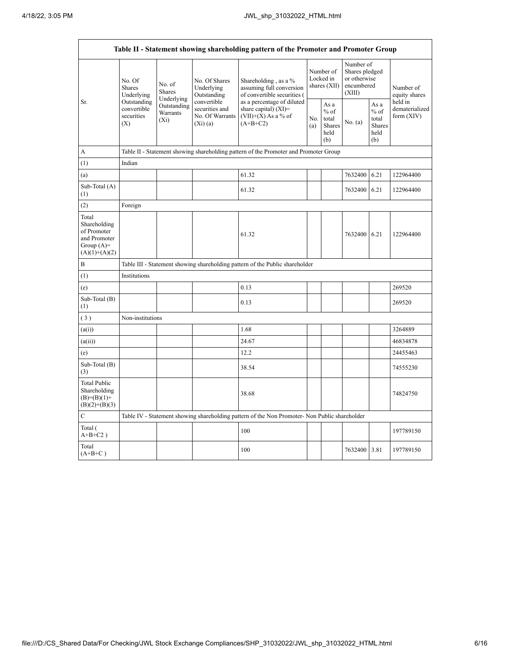$\mathbf{r}$ 

| Table II - Statement showing shareholding pattern of the Promoter and Promoter Group    |                                                 |                                                                              |                                                             |                                                                                               |                                          |                                                  |                                                                     |                                                         |                                       |  |  |  |
|-----------------------------------------------------------------------------------------|-------------------------------------------------|------------------------------------------------------------------------------|-------------------------------------------------------------|-----------------------------------------------------------------------------------------------|------------------------------------------|--------------------------------------------------|---------------------------------------------------------------------|---------------------------------------------------------|---------------------------------------|--|--|--|
|                                                                                         | No. Of<br><b>Shares</b><br>Underlying           | No. of<br>Shares<br>Underlying                                               | No. Of Shares<br>Underlying<br>Outstanding                  | Shareholding, as a %<br>assuming full conversion<br>of convertible securities (               | Number of<br>Locked in<br>shares $(XII)$ |                                                  | Number of<br>Shares pledged<br>or otherwise<br>encumbered<br>(XIII) |                                                         | Number of<br>equity shares<br>held in |  |  |  |
| Sr.                                                                                     | Outstanding<br>convertible<br>securities<br>(X) | Outstanding<br>Warrants<br>$(X_i)$                                           | convertible<br>securities and<br>No. Of Warrants<br>(Xi)(a) | as a percentage of diluted<br>share capital) (XI)=<br>$(VII)+(X)$ As a % of<br>$(A+B+C2)$     | No.<br>(a)                               | As a<br>$%$ of<br>total<br>Shares<br>held<br>(b) | No. (a)                                                             | As a<br>$%$ of<br>total<br><b>Shares</b><br>held<br>(b) | dematerialized<br>form $(XIV)$        |  |  |  |
| A                                                                                       |                                                 |                                                                              |                                                             | Table II - Statement showing shareholding pattern of the Promoter and Promoter Group          |                                          |                                                  |                                                                     |                                                         |                                       |  |  |  |
| (1)                                                                                     | Indian                                          |                                                                              |                                                             |                                                                                               |                                          |                                                  |                                                                     |                                                         |                                       |  |  |  |
| (a)                                                                                     |                                                 |                                                                              |                                                             | 61.32                                                                                         |                                          |                                                  | 7632400                                                             | 6.21                                                    | 122964400                             |  |  |  |
| Sub-Total (A)<br>(1)                                                                    |                                                 |                                                                              |                                                             | 61.32                                                                                         |                                          |                                                  | 7632400                                                             | 6.21                                                    | 122964400                             |  |  |  |
| (2)                                                                                     | Foreign                                         |                                                                              |                                                             |                                                                                               |                                          |                                                  |                                                                     |                                                         |                                       |  |  |  |
| Total<br>Shareholding<br>of Promoter<br>and Promoter<br>Group $(A)=$<br>$(A)(1)+(A)(2)$ |                                                 |                                                                              |                                                             | 61.32                                                                                         |                                          |                                                  | 7632400                                                             | 6.21                                                    | 122964400                             |  |  |  |
| B                                                                                       |                                                 | Table III - Statement showing shareholding pattern of the Public shareholder |                                                             |                                                                                               |                                          |                                                  |                                                                     |                                                         |                                       |  |  |  |
| (1)                                                                                     | Institutions                                    |                                                                              |                                                             |                                                                                               |                                          |                                                  |                                                                     |                                                         |                                       |  |  |  |
| (e)                                                                                     |                                                 |                                                                              |                                                             | 0.13                                                                                          |                                          |                                                  |                                                                     |                                                         | 269520                                |  |  |  |
| Sub-Total (B)<br>(1)                                                                    |                                                 |                                                                              |                                                             | 0.13                                                                                          |                                          |                                                  |                                                                     |                                                         | 269520                                |  |  |  |
| (3)                                                                                     | Non-institutions                                |                                                                              |                                                             |                                                                                               |                                          |                                                  |                                                                     |                                                         |                                       |  |  |  |
| (a(i))                                                                                  |                                                 |                                                                              |                                                             | 1.68                                                                                          |                                          |                                                  |                                                                     |                                                         | 3264889                               |  |  |  |
| (a(ii))                                                                                 |                                                 |                                                                              |                                                             | 24.67                                                                                         |                                          |                                                  |                                                                     |                                                         | 46834878                              |  |  |  |
| (e)                                                                                     |                                                 |                                                                              |                                                             | 12.2                                                                                          |                                          |                                                  |                                                                     |                                                         | 24455463                              |  |  |  |
| Sub-Total (B)<br>(3)                                                                    |                                                 |                                                                              |                                                             | 38.54                                                                                         |                                          |                                                  |                                                                     |                                                         | 74555230                              |  |  |  |
| <b>Total Public</b><br>Shareholding<br>$(B)=(B)(1)+$<br>$(B)(2)+(B)(3)$                 |                                                 |                                                                              |                                                             | 38.68                                                                                         |                                          |                                                  |                                                                     |                                                         | 74824750                              |  |  |  |
| $\mathcal{C}$                                                                           |                                                 |                                                                              |                                                             | Table IV - Statement showing shareholding pattern of the Non Promoter- Non Public shareholder |                                          |                                                  |                                                                     |                                                         |                                       |  |  |  |
| Total (<br>$A+B+C2$ )                                                                   |                                                 |                                                                              |                                                             | 100                                                                                           |                                          |                                                  |                                                                     |                                                         | 197789150                             |  |  |  |
| Total<br>$(A+B+C)$                                                                      |                                                 |                                                                              |                                                             | 100                                                                                           |                                          |                                                  | 7632400 3.81                                                        |                                                         | 197789150                             |  |  |  |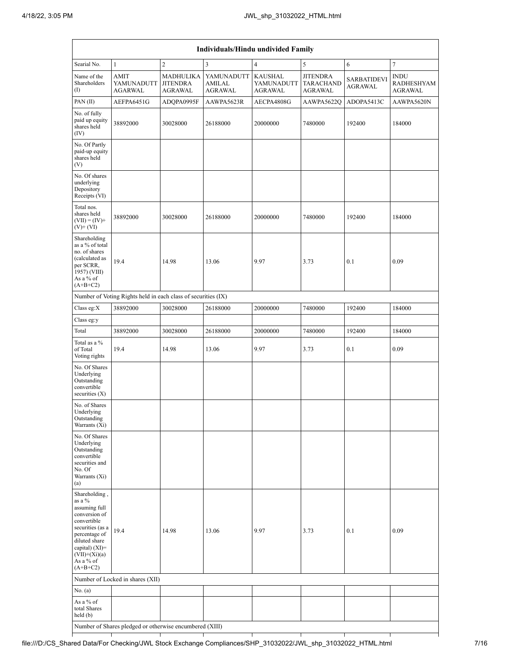| Individuals/Hindu undivided Family                                                                                                                                                               |                                                               |                                                |                                        |                                                |                                                       |                                      |                                                    |  |  |  |  |
|--------------------------------------------------------------------------------------------------------------------------------------------------------------------------------------------------|---------------------------------------------------------------|------------------------------------------------|----------------------------------------|------------------------------------------------|-------------------------------------------------------|--------------------------------------|----------------------------------------------------|--|--|--|--|
| Searial No.                                                                                                                                                                                      | $\mathbf{1}$                                                  | $\mathbf{2}$                                   | 3                                      | $\overline{4}$                                 | 5                                                     | 6                                    | $\tau$                                             |  |  |  |  |
| Name of the<br>Shareholders<br>(1)                                                                                                                                                               | <b>AMIT</b><br>YAMUNADUTT<br><b>AGARWAL</b>                   | <b>MADHULIKA</b><br><b>JITENDRA</b><br>AGRAWAL | YAMUNADUTT<br>AMILAL<br><b>AGRAWAL</b> | <b>KAUSHAL</b><br>YAMUNADUTT<br><b>AGRAWAL</b> | <b>JITENDRA</b><br><b>TARACHAND</b><br><b>AGRAWAL</b> | <b>SARBATIDEVI</b><br><b>AGRAWAL</b> | <b>INDU</b><br><b>RADHESHYAM</b><br><b>AGRAWAL</b> |  |  |  |  |
| PAN(II)                                                                                                                                                                                          | AEFPA6451G                                                    | ADQPA0995F                                     | AAWPA5623R                             | AECPA4808G                                     | <b>AAWPA5622O</b>                                     | ADOPA5413C                           | AAWPA5620N                                         |  |  |  |  |
| No. of fully<br>paid up equity<br>shares held<br>(IV)                                                                                                                                            | 38892000                                                      | 30028000                                       | 26188000                               | 20000000                                       | 7480000                                               | 192400                               | 184000                                             |  |  |  |  |
| No. Of Partly<br>paid-up equity<br>shares held<br>(V)                                                                                                                                            |                                                               |                                                |                                        |                                                |                                                       |                                      |                                                    |  |  |  |  |
| No. Of shares<br>underlying<br>Depository<br>Receipts (VI)                                                                                                                                       |                                                               |                                                |                                        |                                                |                                                       |                                      |                                                    |  |  |  |  |
| Total nos.<br>shares held<br>$(VII) = (IV) +$<br>$(V)$ + $(VI)$                                                                                                                                  | 38892000                                                      | 30028000                                       | 26188000                               | 20000000                                       | 7480000                                               | 192400                               | 184000                                             |  |  |  |  |
| Shareholding<br>as a % of total<br>no. of shares<br>(calculated as<br>per SCRR,<br>1957) (VIII)<br>As a % of<br>$(A+B+C2)$                                                                       | 19.4                                                          | 14.98                                          | 13.06                                  | 9.97                                           | 3.73                                                  | 0.1                                  | 0.09                                               |  |  |  |  |
|                                                                                                                                                                                                  | Number of Voting Rights held in each class of securities (IX) |                                                |                                        |                                                |                                                       |                                      |                                                    |  |  |  |  |
| Class eg:X                                                                                                                                                                                       | 38892000                                                      | 30028000                                       | 26188000                               | 20000000                                       | 7480000                                               | 192400                               | 184000                                             |  |  |  |  |
| Class eg:y                                                                                                                                                                                       |                                                               |                                                |                                        |                                                |                                                       |                                      |                                                    |  |  |  |  |
| Total                                                                                                                                                                                            | 38892000                                                      | 30028000                                       | 26188000                               | 20000000                                       | 7480000                                               | 192400                               | 184000                                             |  |  |  |  |
| Total as a %<br>of Total<br>Voting rights                                                                                                                                                        | 19.4                                                          | 14.98                                          | 13.06                                  | 9.97                                           | 3.73                                                  | 0.1                                  | 0.09                                               |  |  |  |  |
| No. Of Shares<br>Underlying<br>Outstanding<br>convertible<br>securities $(X)$                                                                                                                    |                                                               |                                                |                                        |                                                |                                                       |                                      |                                                    |  |  |  |  |
| No. of Shares<br>Underlying<br>Outstanding<br>Warrants (Xi)                                                                                                                                      |                                                               |                                                |                                        |                                                |                                                       |                                      |                                                    |  |  |  |  |
| No. Of Shares<br>Underlying<br>Outstanding<br>convertible<br>securities and<br>No. Of<br>Warrants (Xi)<br>(a)                                                                                    |                                                               |                                                |                                        |                                                |                                                       |                                      |                                                    |  |  |  |  |
| Shareholding,<br>as a %<br>assuming full<br>conversion of<br>convertible<br>securities (as a<br>percentage of<br>diluted share<br>capital) $(XI)=$<br>$(VII)+(Xi)(a)$<br>As a % of<br>$(A+B+C2)$ | 19.4                                                          | 14.98                                          | 13.06                                  | 9.97                                           | 3.73                                                  | 0.1                                  | 0.09                                               |  |  |  |  |
|                                                                                                                                                                                                  | Number of Locked in shares (XII)                              |                                                |                                        |                                                |                                                       |                                      |                                                    |  |  |  |  |
| No. (a)                                                                                                                                                                                          |                                                               |                                                |                                        |                                                |                                                       |                                      |                                                    |  |  |  |  |
| As a % of<br>total Shares<br>held(b)                                                                                                                                                             |                                                               |                                                |                                        |                                                |                                                       |                                      |                                                    |  |  |  |  |
|                                                                                                                                                                                                  | Number of Shares pledged or otherwise encumbered (XIII)       |                                                |                                        |                                                |                                                       |                                      |                                                    |  |  |  |  |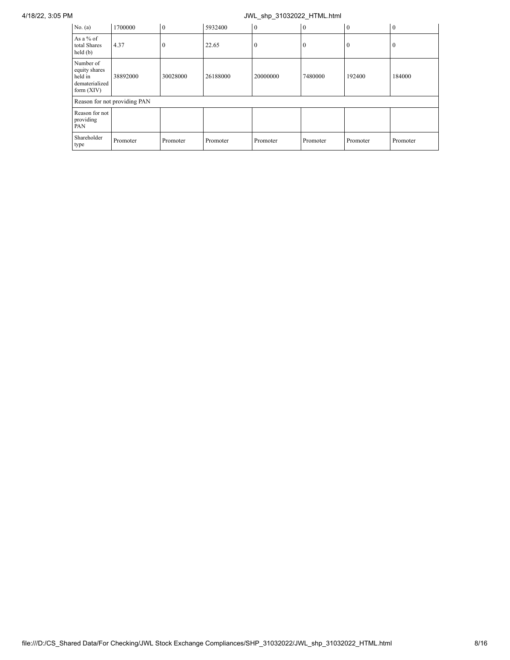4/18/22, 3:05 PM JWL\_shp\_31032022\_HTML.html

| No. (a)                                                                 | 1700000                      | $\overline{0}$ | 5932400  | $\overline{0}$ | $\overline{0}$ | $\bf{0}$     | $\overline{0}$ |
|-------------------------------------------------------------------------|------------------------------|----------------|----------|----------------|----------------|--------------|----------------|
| As a % of<br>total Shares<br>held(b)                                    | 4.37                         | $\theta$       | 22.65    | $\mathbf{0}$   | $\Omega$       | $\mathbf{0}$ | 0              |
| Number of<br>equity shares<br>held in<br>dematerialized<br>form $(XIV)$ | 38892000                     | 30028000       | 26188000 | 20000000       | 7480000        | 192400       | 184000         |
|                                                                         | Reason for not providing PAN |                |          |                |                |              |                |
| Reason for not<br>providing<br>PAN                                      |                              |                |          |                |                |              |                |
| Shareholder<br>type                                                     | Promoter                     | Promoter       | Promoter | Promoter       | Promoter       | Promoter     | Promoter       |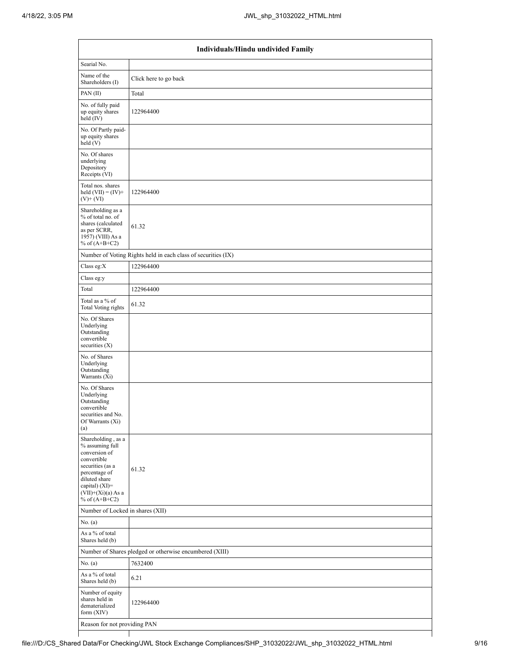|                                                                                                                                                                                          | Individuals/Hindu undivided Family                            |  |  |  |  |  |  |  |  |  |
|------------------------------------------------------------------------------------------------------------------------------------------------------------------------------------------|---------------------------------------------------------------|--|--|--|--|--|--|--|--|--|
| Searial No.                                                                                                                                                                              |                                                               |  |  |  |  |  |  |  |  |  |
| Name of the<br>Shareholders (I)                                                                                                                                                          | Click here to go back                                         |  |  |  |  |  |  |  |  |  |
| PAN (II)                                                                                                                                                                                 | Total                                                         |  |  |  |  |  |  |  |  |  |
| No. of fully paid<br>up equity shares<br>held (IV)                                                                                                                                       | 122964400                                                     |  |  |  |  |  |  |  |  |  |
| No. Of Partly paid-<br>up equity shares<br>held(V)                                                                                                                                       |                                                               |  |  |  |  |  |  |  |  |  |
| No. Of shares<br>underlying<br>Depository<br>Receipts (VI)                                                                                                                               |                                                               |  |  |  |  |  |  |  |  |  |
| Total nos. shares<br>held $(VII) = (IV) +$<br>$(V)$ + $(VI)$                                                                                                                             | 122964400                                                     |  |  |  |  |  |  |  |  |  |
| Shareholding as a<br>% of total no. of<br>shares (calculated<br>as per SCRR,<br>1957) (VIII) As a<br>% of $(A+B+C2)$                                                                     | 61.32                                                         |  |  |  |  |  |  |  |  |  |
|                                                                                                                                                                                          | Number of Voting Rights held in each class of securities (IX) |  |  |  |  |  |  |  |  |  |
| Class eg: $X$                                                                                                                                                                            | 122964400                                                     |  |  |  |  |  |  |  |  |  |
| Class eg:y                                                                                                                                                                               |                                                               |  |  |  |  |  |  |  |  |  |
| Total                                                                                                                                                                                    | 122964400                                                     |  |  |  |  |  |  |  |  |  |
| Total as a % of<br><b>Total Voting rights</b>                                                                                                                                            | 61.32                                                         |  |  |  |  |  |  |  |  |  |
| No. Of Shares<br>Underlying<br>Outstanding<br>convertible<br>securities $(X)$                                                                                                            |                                                               |  |  |  |  |  |  |  |  |  |
| No. of Shares<br>Underlying<br>Outstanding<br>Warrants (Xi)                                                                                                                              |                                                               |  |  |  |  |  |  |  |  |  |
| No. Of Shares<br>Underlying<br>Outstanding<br>convertible<br>securities and No.<br>Of Warrants (Xi)<br>(a)                                                                               |                                                               |  |  |  |  |  |  |  |  |  |
| Shareholding, as a<br>% assuming full<br>conversion of<br>convertible<br>securities (as a<br>percentage of<br>diluted share<br>capital) (XI)=<br>$(VII)+(Xi)(a)$ As a<br>% of $(A+B+C2)$ | 61.32                                                         |  |  |  |  |  |  |  |  |  |
| Number of Locked in shares (XII)                                                                                                                                                         |                                                               |  |  |  |  |  |  |  |  |  |
| No. (a)                                                                                                                                                                                  |                                                               |  |  |  |  |  |  |  |  |  |
| As a $\%$ of total<br>Shares held (b)                                                                                                                                                    |                                                               |  |  |  |  |  |  |  |  |  |
|                                                                                                                                                                                          | Number of Shares pledged or otherwise encumbered (XIII)       |  |  |  |  |  |  |  |  |  |
| No. (a)                                                                                                                                                                                  | 7632400                                                       |  |  |  |  |  |  |  |  |  |
| As a % of total<br>Shares held (b)                                                                                                                                                       | 6.21                                                          |  |  |  |  |  |  |  |  |  |
| Number of equity<br>shares held in<br>dematerialized<br>form $(XIV)$                                                                                                                     | 122964400                                                     |  |  |  |  |  |  |  |  |  |
| Reason for not providing PAN                                                                                                                                                             |                                                               |  |  |  |  |  |  |  |  |  |

 $\mathbf{I}$ 

Τ

┑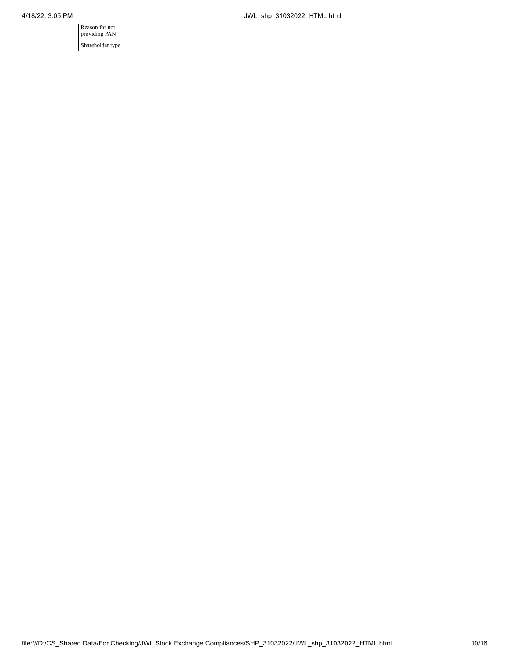| Reason for not<br>providing PAN |  |
|---------------------------------|--|
| Shareholder type                |  |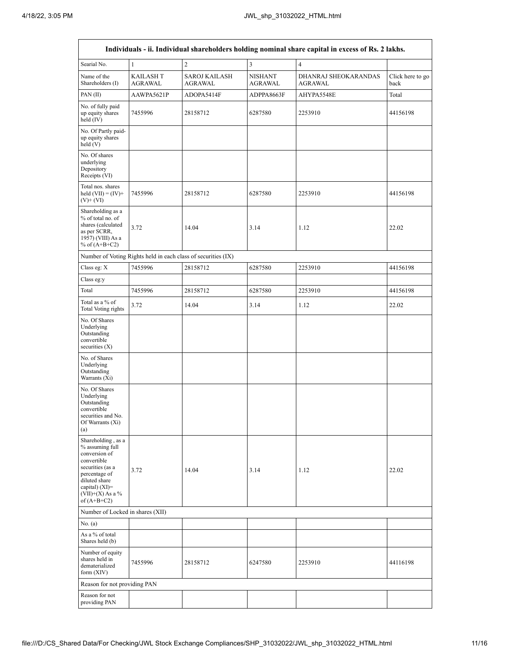|                                                                                                                                                                                        | Individuals - ii. Individual shareholders holding nominal share capital in excess of Rs. 2 lakhs. |                                                               |                                  |                                 |                          |  |  |  |  |  |  |  |
|----------------------------------------------------------------------------------------------------------------------------------------------------------------------------------------|---------------------------------------------------------------------------------------------------|---------------------------------------------------------------|----------------------------------|---------------------------------|--------------------------|--|--|--|--|--|--|--|
| Searial No.                                                                                                                                                                            | 1                                                                                                 | $\overline{2}$                                                | $\overline{3}$                   | $\overline{4}$                  |                          |  |  |  |  |  |  |  |
| Name of the<br>Shareholders (I)                                                                                                                                                        | <b>KAILASH T</b><br><b>AGRAWAL</b>                                                                | <b>SAROJ KAILASH</b><br><b>AGRAWAL</b>                        | <b>NISHANT</b><br><b>AGRAWAL</b> | DHANRAJ SHEOKARANDAS<br>AGRAWAL | Click here to go<br>back |  |  |  |  |  |  |  |
| PAN (II)                                                                                                                                                                               | AAWPA5621P                                                                                        | ADOPA5414F                                                    | ADPPA8663F                       | AHYPA5548E                      | Total                    |  |  |  |  |  |  |  |
| No. of fully paid<br>up equity shares<br>held (IV)                                                                                                                                     | 7455996                                                                                           | 28158712                                                      | 6287580                          | 2253910                         | 44156198                 |  |  |  |  |  |  |  |
| No. Of Partly paid-<br>up equity shares<br>held (V)                                                                                                                                    |                                                                                                   |                                                               |                                  |                                 |                          |  |  |  |  |  |  |  |
| No. Of shares<br>underlying<br>Depository<br>Receipts (VI)                                                                                                                             |                                                                                                   |                                                               |                                  |                                 |                          |  |  |  |  |  |  |  |
| Total nos. shares<br>held $(VII) = (IV) +$<br>$(V)$ + $(VI)$                                                                                                                           | 7455996                                                                                           | 28158712                                                      | 6287580                          | 2253910                         | 44156198                 |  |  |  |  |  |  |  |
| Shareholding as a<br>% of total no. of<br>shares (calculated<br>as per SCRR,<br>1957) (VIII) As a<br>% of $(A+B+C2)$                                                                   | 3.72                                                                                              | 14.04                                                         | 3.14                             | 1.12                            | 22.02                    |  |  |  |  |  |  |  |
|                                                                                                                                                                                        |                                                                                                   | Number of Voting Rights held in each class of securities (IX) |                                  |                                 |                          |  |  |  |  |  |  |  |
| Class eg: X                                                                                                                                                                            | 7455996                                                                                           | 28158712                                                      | 6287580                          | 2253910                         | 44156198                 |  |  |  |  |  |  |  |
| Class eg:y                                                                                                                                                                             |                                                                                                   |                                                               |                                  |                                 |                          |  |  |  |  |  |  |  |
| Total                                                                                                                                                                                  | 7455996                                                                                           | 28158712                                                      | 6287580                          | 2253910                         | 44156198                 |  |  |  |  |  |  |  |
| Total as a % of<br><b>Total Voting rights</b>                                                                                                                                          | 3.72                                                                                              | 14.04                                                         | 3.14                             | 1.12                            | 22.02                    |  |  |  |  |  |  |  |
| No. Of Shares<br>Underlying<br>Outstanding<br>convertible<br>securities $(X)$                                                                                                          |                                                                                                   |                                                               |                                  |                                 |                          |  |  |  |  |  |  |  |
| No. of Shares<br>Underlying<br>Outstanding<br>Warrants (Xi)                                                                                                                            |                                                                                                   |                                                               |                                  |                                 |                          |  |  |  |  |  |  |  |
| No. Of Shares<br>Underlying<br>Outstanding<br>convertible<br>securities and No.<br>Of Warrants (Xi)<br>(a)                                                                             |                                                                                                   |                                                               |                                  |                                 |                          |  |  |  |  |  |  |  |
| Shareholding, as a<br>% assuming full<br>conversion of<br>convertible<br>securities (as a<br>percentage of<br>diluted share<br>capital) $(XI)=$<br>$(VII)+(X)$ As a %<br>of $(A+B+C2)$ | 3.72                                                                                              | 14.04                                                         | 3.14                             | 1.12                            | 22.02                    |  |  |  |  |  |  |  |
| Number of Locked in shares (XII)                                                                                                                                                       |                                                                                                   |                                                               |                                  |                                 |                          |  |  |  |  |  |  |  |
| No. $(a)$                                                                                                                                                                              |                                                                                                   |                                                               |                                  |                                 |                          |  |  |  |  |  |  |  |
| As a % of total<br>Shares held (b)                                                                                                                                                     |                                                                                                   |                                                               |                                  |                                 |                          |  |  |  |  |  |  |  |
| Number of equity<br>shares held in<br>dematerialized<br>form $(XIV)$                                                                                                                   | 7455996                                                                                           | 28158712                                                      | 6247580                          | 2253910                         | 44116198                 |  |  |  |  |  |  |  |
| Reason for not providing PAN                                                                                                                                                           |                                                                                                   |                                                               |                                  |                                 |                          |  |  |  |  |  |  |  |
| Reason for not<br>providing PAN                                                                                                                                                        |                                                                                                   |                                                               |                                  |                                 |                          |  |  |  |  |  |  |  |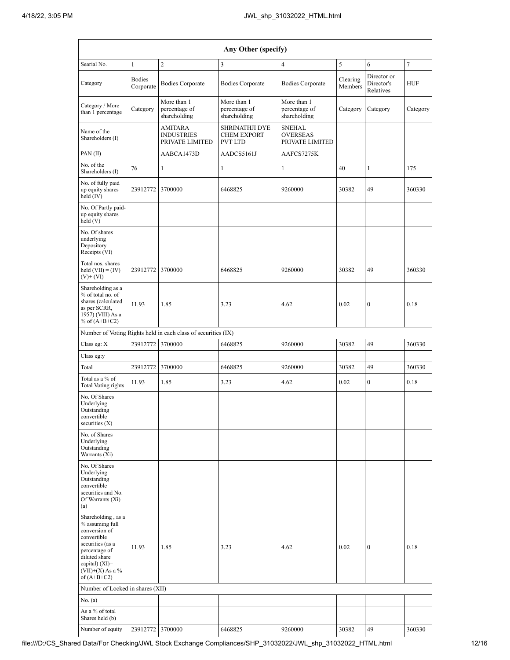| Any Other (specify)                                                                                                                                                                    |                            |                                                               |                                                               |                                                     |                     |                                        |                |  |  |  |  |  |
|----------------------------------------------------------------------------------------------------------------------------------------------------------------------------------------|----------------------------|---------------------------------------------------------------|---------------------------------------------------------------|-----------------------------------------------------|---------------------|----------------------------------------|----------------|--|--|--|--|--|
| Searial No.                                                                                                                                                                            | $\mathbf{1}$               | $\overline{c}$                                                | 3                                                             | $\overline{4}$                                      | 5                   | 6                                      | $\overline{7}$ |  |  |  |  |  |
| Category                                                                                                                                                                               | <b>Bodies</b><br>Corporate | <b>Bodies Corporate</b>                                       | <b>Bodies Corporate</b>                                       | <b>Bodies Corporate</b>                             | Clearing<br>Members | Director or<br>Director's<br>Relatives | <b>HUF</b>     |  |  |  |  |  |
| Category / More<br>than 1 percentage                                                                                                                                                   | Category                   | More than 1<br>percentage of<br>shareholding                  | More than 1<br>percentage of<br>shareholding                  | More than 1<br>percentage of<br>shareholding        | Category            | Category                               | Category       |  |  |  |  |  |
| Name of the<br>Shareholders (I)                                                                                                                                                        |                            | <b>AMITARA</b><br><b>INDUSTRIES</b><br>PRIVATE LIMITED        | <b>SHRINATHJI DYE</b><br><b>CHEM EXPORT</b><br><b>PVT LTD</b> | <b>SNEHAL</b><br><b>OVERSEAS</b><br>PRIVATE LIMITED |                     |                                        |                |  |  |  |  |  |
| PAN (II)                                                                                                                                                                               |                            | AABCA1473D                                                    | AADCS5161J                                                    | AAFCS7275K                                          |                     |                                        |                |  |  |  |  |  |
| No. of the<br>Shareholders (I)                                                                                                                                                         | 76                         | $\mathbf{1}$                                                  | $\mathbf{1}$                                                  | $\mathbf{1}$                                        | 40                  | $\mathbf{1}$                           | 175            |  |  |  |  |  |
| No. of fully paid<br>up equity shares<br>held (IV)                                                                                                                                     | 23912772                   | 3700000                                                       | 6468825                                                       | 9260000                                             | 30382               | 49                                     | 360330         |  |  |  |  |  |
| No. Of Partly paid-<br>up equity shares<br>held(V)                                                                                                                                     |                            |                                                               |                                                               |                                                     |                     |                                        |                |  |  |  |  |  |
| No. Of shares<br>underlying<br>Depository<br>Receipts (VI)                                                                                                                             |                            |                                                               |                                                               |                                                     |                     |                                        |                |  |  |  |  |  |
| Total nos. shares<br>held $(VII) = (IV) +$<br>$(V)$ + $(VI)$                                                                                                                           | 23912772                   | 3700000                                                       | 6468825                                                       | 9260000                                             | 30382               | 49                                     | 360330         |  |  |  |  |  |
| Shareholding as a<br>% of total no. of<br>shares (calculated<br>as per SCRR,<br>1957) (VIII) As a<br>% of $(A+B+C2)$                                                                   | 11.93                      | 1.85                                                          | 3.23                                                          | 4.62                                                | 0.02                | $\boldsymbol{0}$                       | 0.18           |  |  |  |  |  |
|                                                                                                                                                                                        |                            | Number of Voting Rights held in each class of securities (IX) |                                                               |                                                     |                     |                                        |                |  |  |  |  |  |
| Class eg: X                                                                                                                                                                            | 23912772                   | 3700000                                                       | 6468825                                                       | 9260000                                             | 30382               | 49                                     | 360330         |  |  |  |  |  |
| Class eg:y                                                                                                                                                                             |                            |                                                               |                                                               |                                                     |                     |                                        |                |  |  |  |  |  |
| Total                                                                                                                                                                                  | 23912772                   | 3700000                                                       | 6468825                                                       | 9260000                                             | 30382               | 49                                     | 360330         |  |  |  |  |  |
| Total as a % of<br><b>Total Voting rights</b>                                                                                                                                          | 11.93                      | 1.85                                                          | 3.23                                                          | 4.62                                                | 0.02                | $\mathbf{0}$                           | 0.18           |  |  |  |  |  |
| No. Of Shares<br>Underlying<br>Outstanding<br>convertible<br>securities $(X)$                                                                                                          |                            |                                                               |                                                               |                                                     |                     |                                        |                |  |  |  |  |  |
| No. of Shares<br>Underlying<br>Outstanding<br>Warrants (Xi)                                                                                                                            |                            |                                                               |                                                               |                                                     |                     |                                        |                |  |  |  |  |  |
| No. Of Shares<br>Underlying<br>Outstanding<br>convertible<br>securities and No.<br>Of Warrants (Xi)<br>(a)                                                                             |                            |                                                               |                                                               |                                                     |                     |                                        |                |  |  |  |  |  |
| Shareholding, as a<br>% assuming full<br>conversion of<br>convertible<br>securities (as a<br>percentage of<br>diluted share<br>capital) $(XI)=$<br>$(VII)+(X)$ As a %<br>of $(A+B+C2)$ | 11.93                      | 1.85                                                          | 3.23                                                          | 4.62                                                | 0.02                | $\boldsymbol{0}$                       | 0.18           |  |  |  |  |  |
| Number of Locked in shares (XII)                                                                                                                                                       |                            |                                                               |                                                               |                                                     |                     |                                        |                |  |  |  |  |  |
| No. (a)                                                                                                                                                                                |                            |                                                               |                                                               |                                                     |                     |                                        |                |  |  |  |  |  |
| As a % of total<br>Shares held (b)                                                                                                                                                     |                            |                                                               |                                                               |                                                     |                     |                                        |                |  |  |  |  |  |
| Number of equity                                                                                                                                                                       | 23912772 3700000           |                                                               | 6468825                                                       | 9260000                                             | 30382               | 49                                     | 360330         |  |  |  |  |  |

file:///D:/CS\_Shared Data/For Checking/JWL Stock Exchange Compliances/SHP\_31032022/JWL\_shp\_31032022\_HTML.html 12/16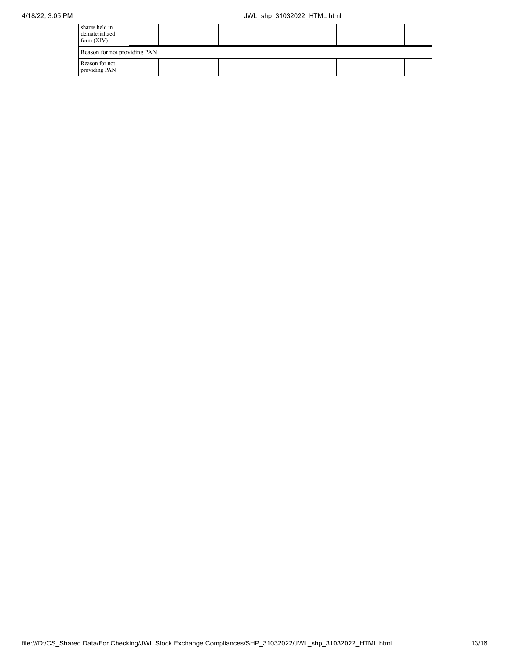| shares held in<br>dematerialized<br>form $(XIV)$ |  |  |  |  |  |  |  |  |  |
|--------------------------------------------------|--|--|--|--|--|--|--|--|--|
| Reason for not providing PAN                     |  |  |  |  |  |  |  |  |  |
| Reason for not<br>providing PAN                  |  |  |  |  |  |  |  |  |  |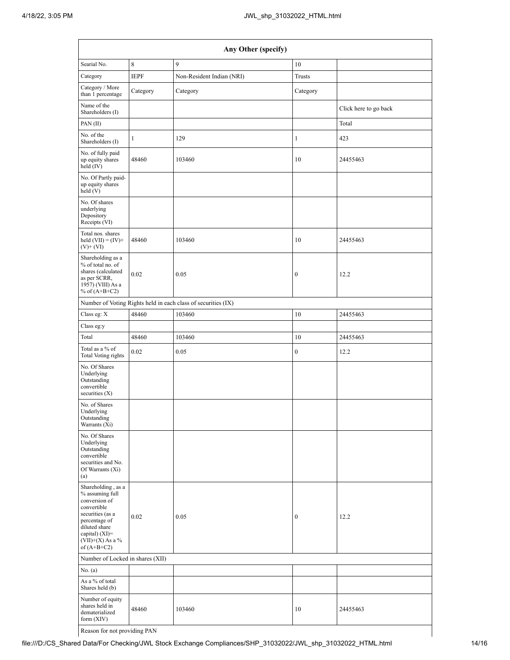| Any Other (specify)                                                                                                                                                                  |             |                                                               |                  |                       |  |  |  |  |  |  |
|--------------------------------------------------------------------------------------------------------------------------------------------------------------------------------------|-------------|---------------------------------------------------------------|------------------|-----------------------|--|--|--|--|--|--|
| Searial No.                                                                                                                                                                          | 8           | $\mathbf{Q}$                                                  | 10               |                       |  |  |  |  |  |  |
| Category                                                                                                                                                                             | <b>IEPF</b> | Non-Resident Indian (NRI)                                     | Trusts           |                       |  |  |  |  |  |  |
| Category / More<br>than 1 percentage                                                                                                                                                 | Category    | Category                                                      | Category         |                       |  |  |  |  |  |  |
| Name of the<br>Shareholders (I)                                                                                                                                                      |             |                                                               |                  | Click here to go back |  |  |  |  |  |  |
| PAN (II)                                                                                                                                                                             |             |                                                               |                  | Total                 |  |  |  |  |  |  |
| No. of the<br>Shareholders (I)                                                                                                                                                       | 1           | 129                                                           | 1                | 423                   |  |  |  |  |  |  |
| No. of fully paid<br>up equity shares<br>held (IV)                                                                                                                                   | 48460       | 103460                                                        | 10               | 24455463              |  |  |  |  |  |  |
| No. Of Partly paid-<br>up equity shares<br>held(V)                                                                                                                                   |             |                                                               |                  |                       |  |  |  |  |  |  |
| No. Of shares<br>underlying<br>Depository<br>Receipts (VI)                                                                                                                           |             |                                                               |                  |                       |  |  |  |  |  |  |
| Total nos. shares<br>held $(VII) = (IV) +$<br>$(V)$ + $(VI)$                                                                                                                         | 48460       | 103460                                                        | 10               | 24455463              |  |  |  |  |  |  |
| Shareholding as a<br>% of total no. of<br>shares (calculated<br>0.02<br>as per SCRR,<br>1957) (VIII) As a<br>% of $(A+B+C2)$                                                         |             | 0.05                                                          | $\boldsymbol{0}$ | 12.2                  |  |  |  |  |  |  |
|                                                                                                                                                                                      |             | Number of Voting Rights held in each class of securities (IX) |                  |                       |  |  |  |  |  |  |
| Class eg: X                                                                                                                                                                          | 48460       | 103460                                                        | 10               | 24455463              |  |  |  |  |  |  |
| Class eg:y                                                                                                                                                                           |             |                                                               |                  |                       |  |  |  |  |  |  |
| Total                                                                                                                                                                                | 48460       | 103460                                                        | 10               | 24455463              |  |  |  |  |  |  |
| Total as a % of<br>0.02<br>Total Voting rights                                                                                                                                       |             | $\boldsymbol{0}$<br>0.05                                      |                  | 12.2                  |  |  |  |  |  |  |
| No. Of Shares<br>Underlying<br>Outstanding<br>convertible<br>securities $(X)$                                                                                                        |             |                                                               |                  |                       |  |  |  |  |  |  |
| No. of Shares<br>Underlying<br>Outstanding<br>Warrants (Xi)                                                                                                                          |             |                                                               |                  |                       |  |  |  |  |  |  |
| No. Of Shares<br>Underlying<br>Outstanding<br>convertible<br>securities and No.<br>Of Warrants (Xi)<br>(a)                                                                           |             |                                                               |                  |                       |  |  |  |  |  |  |
| Shareholding, as a<br>% assuming full<br>conversion of<br>convertible<br>securities (as a<br>percentage of<br>diluted share<br>capital) (XI)=<br>$(VII)+(X)$ As a %<br>of $(A+B+C2)$ | 0.02        | 0.05                                                          | $\boldsymbol{0}$ | 12.2                  |  |  |  |  |  |  |
| Number of Locked in shares (XII)                                                                                                                                                     |             |                                                               |                  |                       |  |  |  |  |  |  |
| No. $(a)$                                                                                                                                                                            |             |                                                               |                  |                       |  |  |  |  |  |  |
| As a % of total<br>Shares held (b)                                                                                                                                                   |             |                                                               |                  |                       |  |  |  |  |  |  |
| Number of equity<br>shares held in<br>48460<br>dematerialized<br>form $(XIV)$                                                                                                        |             | 103460                                                        | 10               | 24455463              |  |  |  |  |  |  |
| Reason for not providing PAN                                                                                                                                                         |             |                                                               |                  |                       |  |  |  |  |  |  |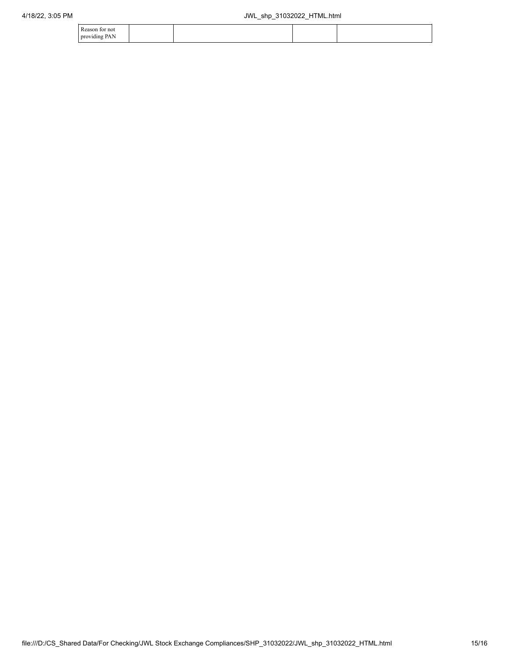| Reason for not |  |  |
|----------------|--|--|
| providing PAN  |  |  |